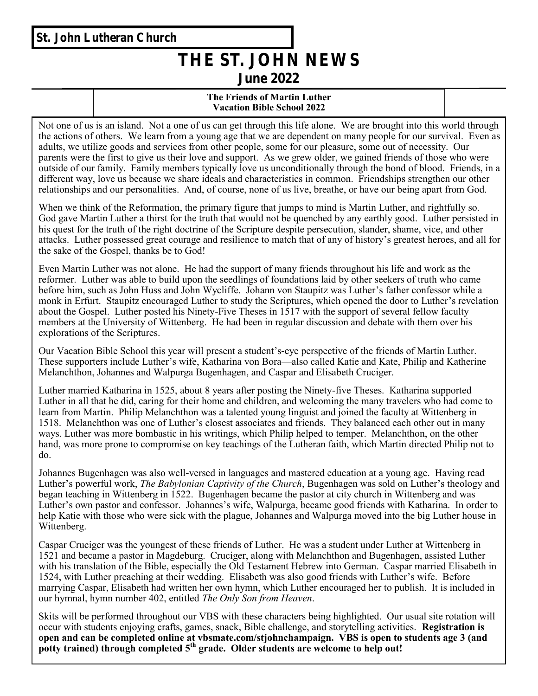## **St. John Lutheran Church**

# **THE ST. JOHN NEWS June 2022**

### **The Friends of Martin Luther Vacation Bible School 2022**

Not one of us is an island. Not a one of us can get through this life alone. We are brought into this world through the actions of others. We learn from a young age that we are dependent on many people for our survival. Even as adults, we utilize goods and services from other people, some for our pleasure, some out of necessity. Our parents were the first to give us their love and support. As we grew older, we gained friends of those who were outside of our family. Family members typically love us unconditionally through the bond of blood. Friends, in a different way, love us because we share ideals and characteristics in common. Friendships strengthen our other relationships and our personalities. And, of course, none of us live, breathe, or have our being apart from God.

When we think of the Reformation, the primary figure that jumps to mind is Martin Luther, and rightfully so. God gave Martin Luther a thirst for the truth that would not be quenched by any earthly good. Luther persisted in his quest for the truth of the right doctrine of the Scripture despite persecution, slander, shame, vice, and other attacks. Luther possessed great courage and resilience to match that of any of history's greatest heroes, and all for the sake of the Gospel, thanks be to God!

Even Martin Luther was not alone. He had the support of many friends throughout his life and work as the reformer. Luther was able to build upon the seedlings of foundations laid by other seekers of truth who came before him, such as John Huss and John Wycliffe. Johann von Staupitz was Luther's father confessor while a monk in Erfurt. Staupitz encouraged Luther to study the Scriptures, which opened the door to Luther's revelation about the Gospel. Luther posted his Ninety-Five Theses in 1517 with the support of several fellow faculty members at the University of Wittenberg. He had been in regular discussion and debate with them over his explorations of the Scriptures.

Our Vacation Bible School this year will present a student's-eye perspective of the friends of Martin Luther. These supporters include Luther's wife, Katharina von Bora—also called Katie and Kate, Philip and Katherine Melanchthon, Johannes and Walpurga Bugenhagen, and Caspar and Elisabeth Cruciger.

Luther married Katharina in 1525, about 8 years after posting the Ninety-five Theses. Katharina supported Luther in all that he did, caring for their home and children, and welcoming the many travelers who had come to learn from Martin. Philip Melanchthon was a talented young linguist and joined the faculty at Wittenberg in 1518. Melanchthon was one of Luther's closest associates and friends. They balanced each other out in many ways. Luther was more bombastic in his writings, which Philip helped to temper. Melanchthon, on the other hand, was more prone to compromise on key teachings of the Lutheran faith, which Martin directed Philip not to do.

Johannes Bugenhagen was also well-versed in languages and mastered education at a young age. Having read Luther's powerful work, *The Babylonian Captivity of the Church*, Bugenhagen was sold on Luther's theology and began teaching in Wittenberg in 1522. Bugenhagen became the pastor at city church in Wittenberg and was Luther's own pastor and confessor. Johannes's wife, Walpurga, became good friends with Katharina. In order to help Katie with those who were sick with the plague, Johannes and Walpurga moved into the big Luther house in Wittenberg.

Caspar Cruciger was the youngest of these friends of Luther. He was a student under Luther at Wittenberg in 1521 and became a pastor in Magdeburg. Cruciger, along with Melanchthon and Bugenhagen, assisted Luther with his translation of the Bible, especially the Old Testament Hebrew into German. Caspar married Elisabeth in 1524, with Luther preaching at their wedding. Elisabeth was also good friends with Luther's wife. Before marrying Caspar, Elisabeth had written her own hymn, which Luther encouraged her to publish. It is included in our hymnal, hymn number 402, entitled *The Only Son from Heaven*.

Skits will be performed throughout our VBS with these characters being highlighted. Our usual site rotation will occur with students enjoying crafts, games, snack, Bible challenge, and storytelling activities. **Registration is open and can be completed online at vbsmate.com/stjohnchampaign. VBS is open to students age 3 (and potty trained) through completed 5th grade. Older students are welcome to help out!**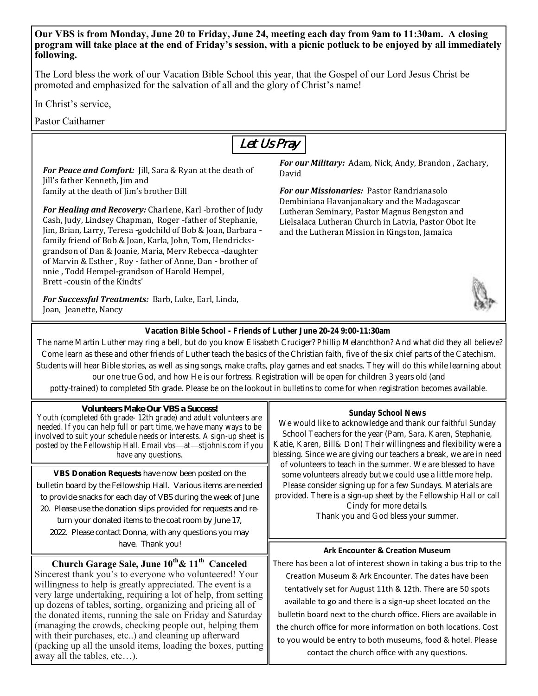**Our VBS is from Monday, June 20 to Friday, June 24, meeting each day from 9am to 11:30am. A closing program will take place at the end of Friday's session, with a picnic potluck to be enjoyed by all immediately following.**

The Lord bless the work of our Vacation Bible School this year, that the Gospel of our Lord Jesus Christ be promoted and emphasized for the salvation of all and the glory of Christ's name!

In Christ's service,

away all the tables, etc…).

Pastor Caithamer



(packing up all the unsold items, loading the boxes, putting to you would be entry to both museums, food & hotel. Please contact the church office with any questions.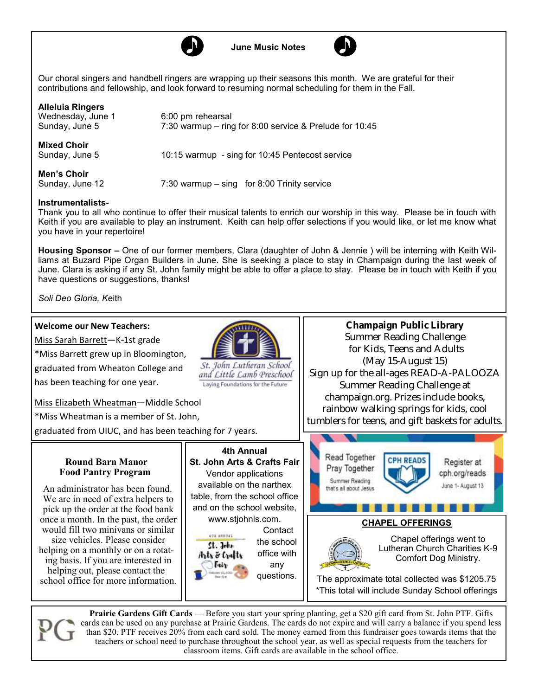



Our choral singers and handbell ringers are wrapping up their seasons this month. We are grateful for their contributions and fellowship, and look forward to resuming normal scheduling for them in the Fall.

**Alleluia Ringers** Wednesday, June 1 6:00 pm rehearsal<br>Sunday, June 5 7:30 warmup – ring  $7:30$  warmup – ring for 8:00 service & Prelude for 10:45 **Mixed Choir** Sunday, June 5 10:15 warmup - sing for 10:45 Pentecost service **Men's Choir**  $7:30$  warmup – sing for 8:00 Trinity service

#### **Instrumentalists-**

Thank you to all who continue to offer their musical talents to enrich our worship in this way. Please be in touch with Keith if you are available to play an instrument. Keith can help offer selections if you would like, or let me know what you have in your repertoire!

**Housing Sponsor –** One of our former members, Clara (daughter of John & Jennie ) will be interning with Keith Williams at Buzard Pipe Organ Builders in June. She is seeking a place to stay in Champaign during the last week of June. Clara is asking if any St. John family might be able to offer a place to stay. Please be in touch with Keith if you have questions or suggestions, thanks!

*Soli Deo Gloria, K*eith

#### **Welcome our New Teachers:**



**Prairie Gardens Gift Cards** — Before you start your spring planting, get a \$20 gift card from St. John PTF. Gifts cards can be used on any purchase at Prairie Gardens. The cards do not expire and will carry a balance if you spend less than \$20. PTF receives 20% from each card sold. The money earned from this fundraiser goes towards items that the teachers or school need to purchase throughout the school year, as well as special requests from the teachers for classroom items. Gift cards are available in the school office.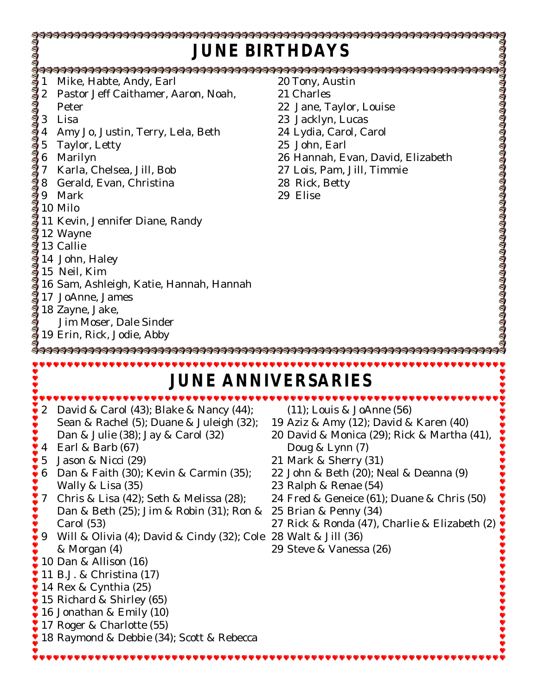| JUNE BIRTHDAYS                                                                  |                                                                                                                                                                                                                                                                                                                                                                                                                                                                                                                                                                                                                                                   |                                                                                                                                                                                                                                                                                                                                                                                                                 |  |  |  |  |  |  |
|---------------------------------------------------------------------------------|---------------------------------------------------------------------------------------------------------------------------------------------------------------------------------------------------------------------------------------------------------------------------------------------------------------------------------------------------------------------------------------------------------------------------------------------------------------------------------------------------------------------------------------------------------------------------------------------------------------------------------------------------|-----------------------------------------------------------------------------------------------------------------------------------------------------------------------------------------------------------------------------------------------------------------------------------------------------------------------------------------------------------------------------------------------------------------|--|--|--|--|--|--|
|                                                                                 | Mike, Habte, Andy, Earl<br>Pastor Jeff Caithamer, Aaron, Noah,<br>Peter<br>Lisa<br>Amy Jo, Justin, Terry, Lela, Beth<br>Taylor, Letty<br>Marilyn<br>Karla, Chelsea, Jill, Bob<br>Gerald, Evan, Christina<br>Mark<br>10 Milo<br>11 Kevin, Jennifer Diane, Randy<br>12 Wayne<br>a 13 Callie<br>14 John, Haley<br>15 Neil, Kim<br>16 Sam, Ashleig<br>16 Sam, Ashleigh, Katie, Hannah, Hannah<br>17 JoAnne, James<br>18 Zayne, Jake,<br>Jim Moser, Dale Sinder<br>$\frac{3}{3}$ 19 Erin, Rick, Jodie, Abby                                                                                                                                            | 20 Tony, Austin<br>21 Charles<br>22 Jane, Taylor, Louise<br>23 Jacklyn, Lucas<br>24 Lydia, Carol, Carol<br>25 John, Earl<br>26 Hannah, Evan, David, Elizabeth<br>27 Lois, Pam, Jill, Timmie<br>28 Rick, Betty<br>29 Elise                                                                                                                                                                                       |  |  |  |  |  |  |
| $\overline{2}$<br>1888<br>4<br>5<br>$\bullet$ 6<br>$\frac{1}{2}$ 7<br>1111<br>9 | David & Carol $(43)$ ; Blake & Nancy $(44)$ ;<br>Sean & Rachel (5); Duane & Juleigh (32);<br>Dan & Julie (38); Jay & Carol (32)<br>Earl & Barb (67)<br>Jason & Nicci (29)<br>Dan & Faith (30); Kevin & Carmin (35);<br>Wally & Lisa (35)<br>Chris & Lisa (42); Seth & Melissa (28);<br>Dan & Beth (25); Jim & Robin (31); Ron &<br>Carol (53)<br>Will & Olivia (4); David & Cindy (32); Cole 28 Walt & Jill (36)<br>& Morgan (4)<br>10 Dan & Allison (16)<br>11 B.J. & Christina (17)<br>14 Rex & Cynthia (25)<br>15 Richard & Shirley (65)<br>16 Jonathan & Emily (10)<br>17 Roger & Charlotte (55)<br>18 Raymond & Debbie (34); Scott & Rebecca | JUNE ANNIVERSARIES<br>$(11)$ ; Louis & JoAnne $(56)$<br>19 Aziz & Amy (12); David & Karen (40)<br>20 David & Monica (29); Rick & Martha (41),<br>Doug & Lynn (7)<br>21 Mark & Sherry (31)<br>22 John & Beth (20); Neal & Deanna (9)<br>23 Ralph & Renae (54)<br>24 Fred & Geneice (61); Duane & Chris (50)<br>25 Brian & Penny (34)<br>27 Rick & Ronda (47), Charlie & Elizabeth (2)<br>29 Steve & Vanessa (26) |  |  |  |  |  |  |